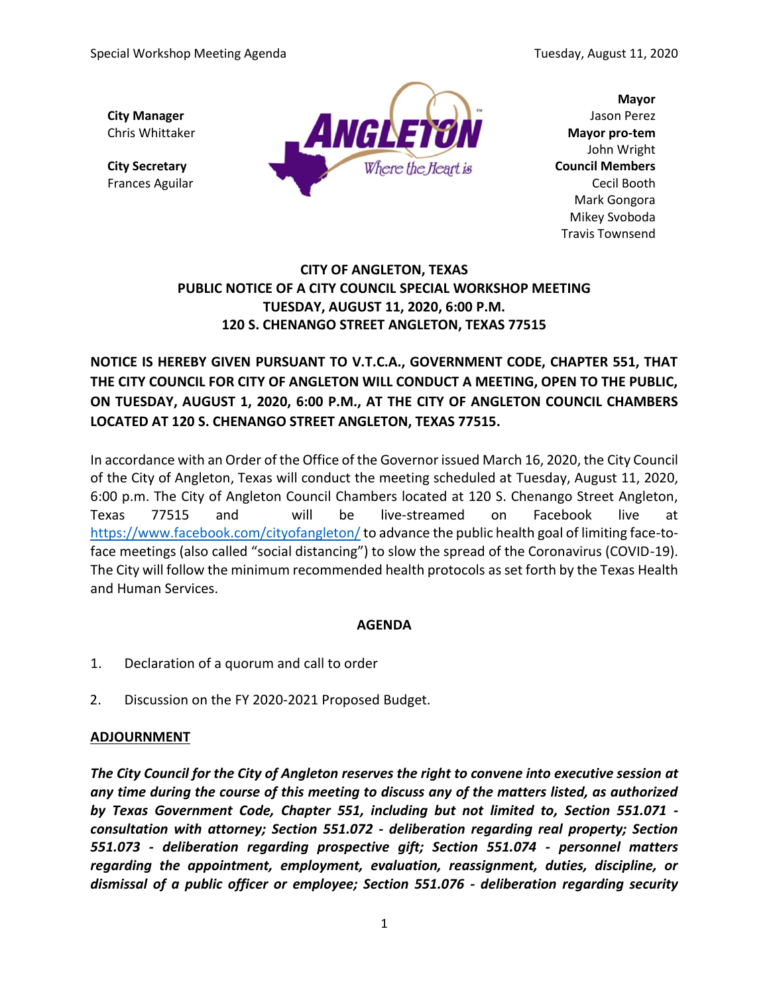

**Mayor** John Wright Mark Gongora Mikey Svoboda Travis Townsend

## **CITY OF ANGLETON, TEXAS PUBLIC NOTICE OF A CITY COUNCIL SPECIAL WORKSHOP MEETING TUESDAY, AUGUST 11, 2020, 6:00 P.M. 120 S. CHENANGO STREET ANGLETON, TEXAS 77515**

**NOTICE IS HEREBY GIVEN PURSUANT TO V.T.C.A., GOVERNMENT CODE, CHAPTER 551, THAT THE CITY COUNCIL FOR CITY OF ANGLETON WILL CONDUCT A MEETING, OPEN TO THE PUBLIC, ON TUESDAY, AUGUST 1, 2020, 6:00 P.M., AT THE CITY OF ANGLETON COUNCIL CHAMBERS LOCATED AT 120 S. CHENANGO STREET ANGLETON, TEXAS 77515.**

In accordance with an Order of the Office of the Governor issued March 16, 2020, the City Council of the City of Angleton, Texas will conduct the meeting scheduled at Tuesday, August 11, 2020, 6:00 p.m. The City of Angleton Council Chambers located at 120 S. Chenango Street Angleton, Texas 77515 and will be live-streamed on Facebook live at <https://www.facebook.com/cityofangleton/> to advance the public health goal of limiting face-toface meetings (also called "social distancing") to slow the spread of the Coronavirus (COVID-19). The City will follow the minimum recommended health protocols as set forth by the Texas Health and Human Services.

## **AGENDA**

- 1. Declaration of a quorum and call to order
- 2. Discussion on the FY 2020-2021 Proposed Budget.

## **ADJOURNMENT**

*The City Council for the City of Angleton reserves the right to convene into executive session at any time during the course of this meeting to discuss any of the matters listed, as authorized by Texas Government Code, Chapter 551, including but not limited to, Section 551.071 consultation with attorney; Section 551.072 - deliberation regarding real property; Section 551.073 - deliberation regarding prospective gift; Section 551.074 - personnel matters regarding the appointment, employment, evaluation, reassignment, duties, discipline, or dismissal of a public officer or employee; Section 551.076 - deliberation regarding security*